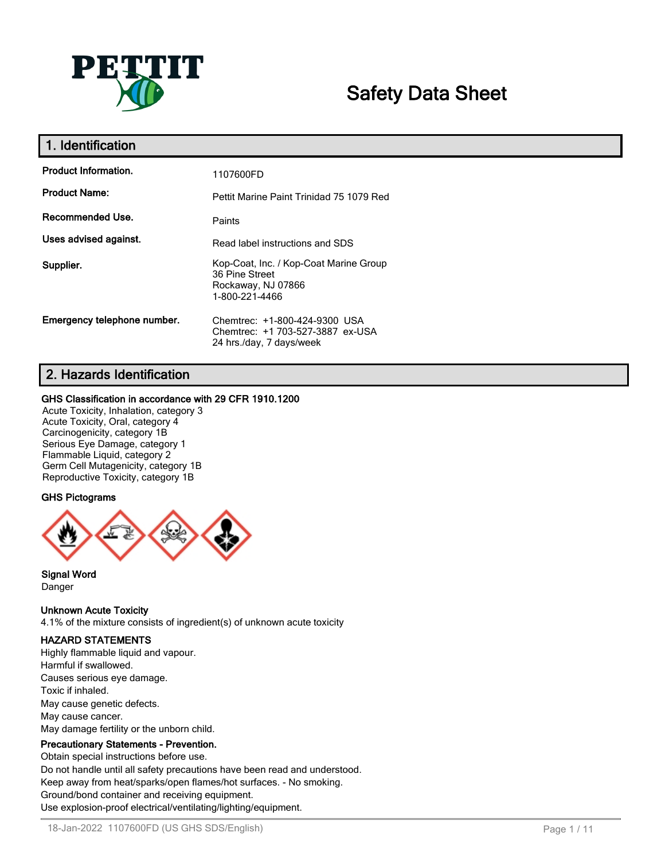

# **Safety Data Sheet**

| 1. Identification           |                                                                                                  |
|-----------------------------|--------------------------------------------------------------------------------------------------|
| <b>Product Information.</b> | 1107600FD                                                                                        |
| <b>Product Name:</b>        | Pettit Marine Paint Trinidad 75 1079 Red                                                         |
| Recommended Use.            | Paints                                                                                           |
| Uses advised against.       | Read label instructions and SDS                                                                  |
| Supplier.                   | Kop-Coat, Inc. / Kop-Coat Marine Group<br>36 Pine Street<br>Rockaway, NJ 07866<br>1-800-221-4466 |
| Emergency telephone number. | Chemtrec: +1-800-424-9300 USA<br>Chemtrec: +1 703-527-3887 ex-USA<br>24 hrs./day, 7 days/week    |

# **2. Hazards Identification**

### **GHS Classification in accordance with 29 CFR 1910.1200**

Acute Toxicity, Inhalation, category 3 Acute Toxicity, Oral, category 4 Carcinogenicity, category 1B Serious Eye Damage, category 1 Flammable Liquid, category 2 Germ Cell Mutagenicity, category 1B Reproductive Toxicity, category 1B

## **GHS Pictograms**



#### **Signal Word** Danger

## **Unknown Acute Toxicity**

4.1% of the mixture consists of ingredient(s) of unknown acute toxicity

# **HAZARD STATEMENTS**

Highly flammable liquid and vapour. Harmful if swallowed. Causes serious eye damage. Toxic if inhaled. May cause genetic defects. May cause cancer. May damage fertility or the unborn child.

# **Precautionary Statements - Prevention.**

Obtain special instructions before use. Do not handle until all safety precautions have been read and understood. Keep away from heat/sparks/open flames/hot surfaces. - No smoking. Ground/bond container and receiving equipment. Use explosion-proof electrical/ventilating/lighting/equipment.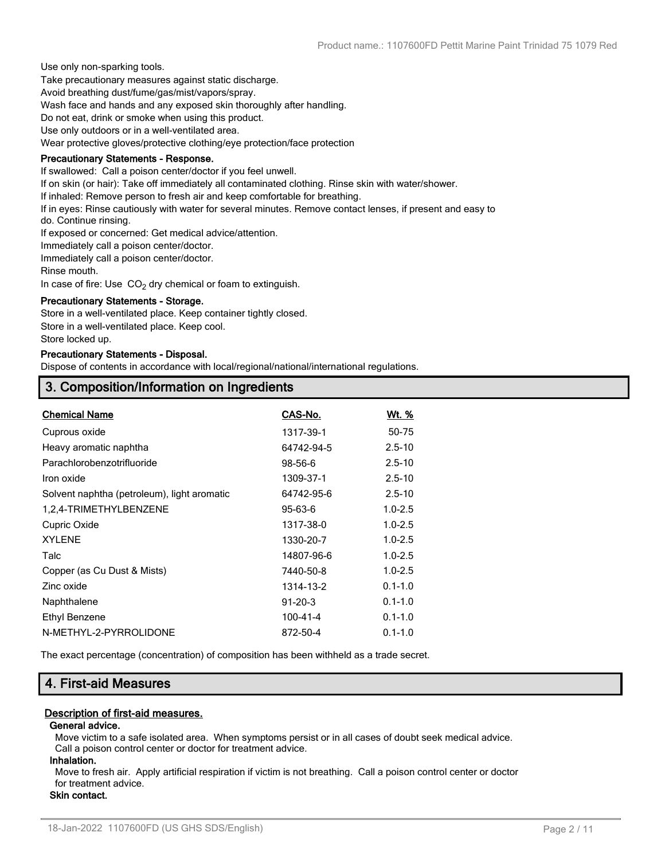Use only non-sparking tools.

Take precautionary measures against static discharge.

Avoid breathing dust/fume/gas/mist/vapors/spray.

Wash face and hands and any exposed skin thoroughly after handling.

Do not eat, drink or smoke when using this product.

Use only outdoors or in a well-ventilated area.

Wear protective gloves/protective clothing/eye protection/face protection

#### **Precautionary Statements - Response.**

If swallowed: Call a poison center/doctor if you feel unwell.

If on skin (or hair): Take off immediately all contaminated clothing. Rinse skin with water/shower.

If inhaled: Remove person to fresh air and keep comfortable for breathing.

If in eyes: Rinse cautiously with water for several minutes. Remove contact lenses, if present and easy to

do. Continue rinsing.

If exposed or concerned: Get medical advice/attention.

Immediately call a poison center/doctor.

Immediately call a poison center/doctor.

Rinse mouth.

In case of fire: Use  $CO<sub>2</sub>$  dry chemical or foam to extinguish.

#### **Precautionary Statements - Storage.**

Store in a well-ventilated place. Keep container tightly closed. Store in a well-ventilated place. Keep cool.

Store locked up.

#### **Precautionary Statements - Disposal.**

Dispose of contents in accordance with local/regional/national/international regulations.

# **3. Composition/Information on Ingredients**

| <b>Chemical Name</b>                        | CAS-No.        | <u>Wt. %</u> |
|---------------------------------------------|----------------|--------------|
| Cuprous oxide                               | 1317-39-1      | 50-75        |
| Heavy aromatic naphtha                      | 64742-94-5     | $2.5 - 10$   |
| Parachlorobenzotrifluoride                  | 98-56-6        | $2.5 - 10$   |
| Iron oxide                                  | 1309-37-1      | $2.5 - 10$   |
| Solvent naphtha (petroleum), light aromatic | 64742-95-6     | $2.5 - 10$   |
| 1,2,4-TRIMETHYLBENZENE                      | $95 - 63 - 6$  | $1.0 - 2.5$  |
| Cupric Oxide                                | 1317-38-0      | $1.0 - 2.5$  |
| <b>XYLENE</b>                               | 1330-20-7      | $1.0 - 2.5$  |
| Talc                                        | 14807-96-6     | $1.0 - 2.5$  |
| Copper (as Cu Dust & Mists)                 | 7440-50-8      | $1.0 - 2.5$  |
| Zinc oxide                                  | 1314-13-2      | $0.1 - 1.0$  |
| Naphthalene                                 | $91 - 20 - 3$  | $0.1 - 1.0$  |
| <b>Ethyl Benzene</b>                        | $100 - 41 - 4$ | $0.1 - 1.0$  |
| N-METHYL-2-PYRROLIDONE                      | 872-50-4       | $0.1 - 1.0$  |
|                                             |                |              |

The exact percentage (concentration) of composition has been withheld as a trade secret.

# **4. First-aid Measures**

## **Description of first-aid measures.**

#### **General advice.**

Move victim to a safe isolated area. When symptoms persist or in all cases of doubt seek medical advice. Call a poison control center or doctor for treatment advice.

#### **Inhalation.**

Move to fresh air. Apply artificial respiration if victim is not breathing. Call a poison control center or doctor for treatment advice.

**Skin contact.**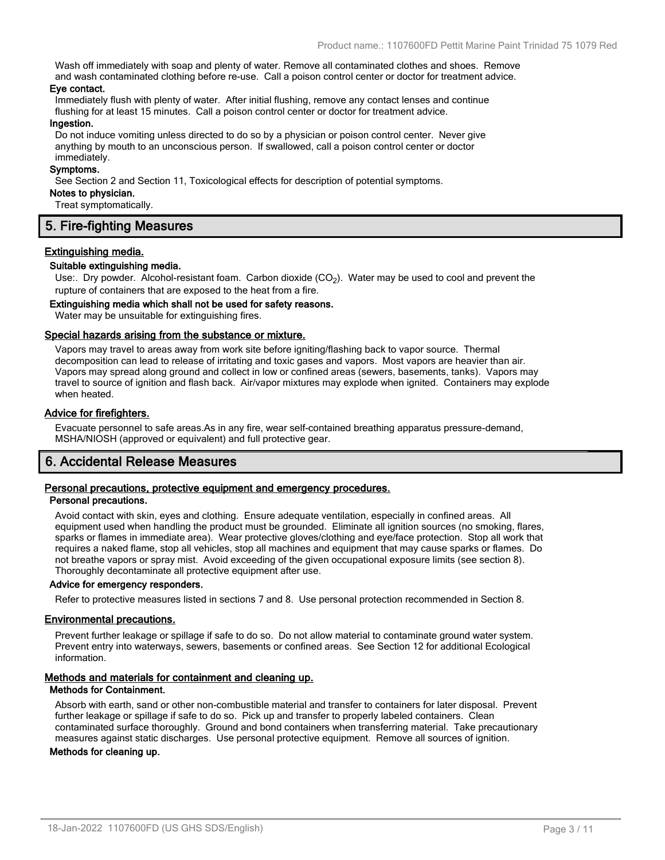Wash off immediately with soap and plenty of water. Remove all contaminated clothes and shoes. Remove and wash contaminated clothing before re-use. Call a poison control center or doctor for treatment advice.

#### **Eye contact.**

Immediately flush with plenty of water. After initial flushing, remove any contact lenses and continue flushing for at least 15 minutes. Call a poison control center or doctor for treatment advice.

#### **Ingestion.**

Do not induce vomiting unless directed to do so by a physician or poison control center. Never give anything by mouth to an unconscious person. If swallowed, call a poison control center or doctor immediately.

#### **Symptoms.**

See Section 2 and Section 11, Toxicological effects for description of potential symptoms.

## **Notes to physician.**

Treat symptomatically.

# **5. Fire-fighting Measures**

#### **Extinguishing media.**

#### **Suitable extinguishing media.**

Use:. Dry powder. Alcohol-resistant foam. Carbon dioxide (CO<sub>2</sub>). Water may be used to cool and prevent the rupture of containers that are exposed to the heat from a fire.

#### **Extinguishing media which shall not be used for safety reasons.**

Water may be unsuitable for extinguishing fires.

#### **Special hazards arising from the substance or mixture.**

Vapors may travel to areas away from work site before igniting/flashing back to vapor source. Thermal decomposition can lead to release of irritating and toxic gases and vapors. Most vapors are heavier than air. Vapors may spread along ground and collect in low or confined areas (sewers, basements, tanks). Vapors may travel to source of ignition and flash back. Air/vapor mixtures may explode when ignited. Containers may explode when heated.

#### **Advice for firefighters.**

Evacuate personnel to safe areas.As in any fire, wear self-contained breathing apparatus pressure-demand, MSHA/NIOSH (approved or equivalent) and full protective gear.

# **6. Accidental Release Measures**

#### **Personal precautions, protective equipment and emergency procedures.**

#### **Personal precautions.**

Avoid contact with skin, eyes and clothing. Ensure adequate ventilation, especially in confined areas. All equipment used when handling the product must be grounded. Eliminate all ignition sources (no smoking, flares, sparks or flames in immediate area). Wear protective gloves/clothing and eye/face protection. Stop all work that requires a naked flame, stop all vehicles, stop all machines and equipment that may cause sparks or flames. Do not breathe vapors or spray mist. Avoid exceeding of the given occupational exposure limits (see section 8). Thoroughly decontaminate all protective equipment after use.

#### **Advice for emergency responders.**

Refer to protective measures listed in sections 7 and 8. Use personal protection recommended in Section 8.

#### **Environmental precautions.**

Prevent further leakage or spillage if safe to do so. Do not allow material to contaminate ground water system. Prevent entry into waterways, sewers, basements or confined areas. See Section 12 for additional Ecological information.

#### **Methods and materials for containment and cleaning up. Methods for Containment.**

Absorb with earth, sand or other non-combustible material and transfer to containers for later disposal. Prevent further leakage or spillage if safe to do so. Pick up and transfer to properly labeled containers. Clean contaminated surface thoroughly. Ground and bond containers when transferring material. Take precautionary measures against static discharges. Use personal protective equipment. Remove all sources of ignition.

#### **Methods for cleaning up.**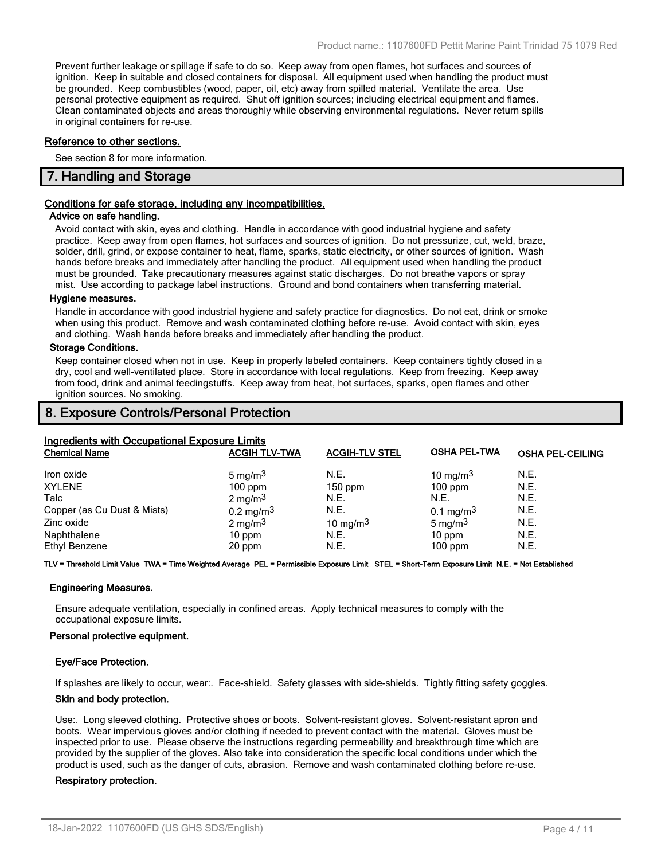Prevent further leakage or spillage if safe to do so. Keep away from open flames, hot surfaces and sources of ignition. Keep in suitable and closed containers for disposal. All equipment used when handling the product must be grounded. Keep combustibles (wood, paper, oil, etc) away from spilled material. Ventilate the area. Use personal protective equipment as required. Shut off ignition sources; including electrical equipment and flames. Clean contaminated objects and areas thoroughly while observing environmental regulations. Never return spills in original containers for re-use.

#### **Reference to other sections.**

See section 8 for more information.

#### **7. Handling and Storage**

#### **Conditions for safe storage, including any incompatibilities.**

#### **Advice on safe handling.**

Avoid contact with skin, eyes and clothing. Handle in accordance with good industrial hygiene and safety practice. Keep away from open flames, hot surfaces and sources of ignition. Do not pressurize, cut, weld, braze, solder, drill, grind, or expose container to heat, flame, sparks, static electricity, or other sources of ignition. Wash hands before breaks and immediately after handling the product. All equipment used when handling the product must be grounded. Take precautionary measures against static discharges. Do not breathe vapors or spray mist. Use according to package label instructions. Ground and bond containers when transferring material.

#### **Hygiene measures.**

Handle in accordance with good industrial hygiene and safety practice for diagnostics. Do not eat, drink or smoke when using this product. Remove and wash contaminated clothing before re-use. Avoid contact with skin, eyes and clothing. Wash hands before breaks and immediately after handling the product.

#### **Storage Conditions.**

Keep container closed when not in use. Keep in properly labeled containers. Keep containers tightly closed in a dry, cool and well-ventilated place. Store in accordance with local regulations. Keep from freezing. Keep away from food, drink and animal feedingstuffs. Keep away from heat, hot surfaces, sparks, open flames and other ignition sources. No smoking.

# **8. Exposure Controls/Personal Protection**

# **Ingredients with Occupational Exposure Limits**

| <u>myreulents with Occupational Exposure Elimits</u><br><b>Chemical Name</b> | <b>ACGIH TLV-TWA</b>    | <b>ACGIH-TLV STEL</b> | <b>OSHA PEL-TWA</b>     | <b>OSHA PEL-CEILING</b> |
|------------------------------------------------------------------------------|-------------------------|-----------------------|-------------------------|-------------------------|
| Iron oxide                                                                   | 5 mg/m $3$              | N.E.                  | 10 mg/m $3$             | N.E.                    |
| <b>XYLENE</b>                                                                | $100$ ppm               | $150$ ppm             | $100$ ppm               | N.E.                    |
| Talc                                                                         | $2 \text{ mg/m}^3$      | N.E.                  | N.E.                    | N.E.                    |
| Copper (as Cu Dust & Mists)                                                  | $0.2 \,\mathrm{mg/m^3}$ | N.E.                  | $0.1 \,\mathrm{mg/m^3}$ | N.E.                    |
| Zinc oxide                                                                   | $2 \text{ mg/m}^3$      | 10 mg/m $3$           | 5 mg/m $3$              | N.E.                    |
| Naphthalene                                                                  | $10$ ppm                | N.E.                  | $10$ ppm                | N.E.                    |
| <b>Ethyl Benzene</b>                                                         | 20 ppm                  | N.E.                  | $100$ ppm               | N.E.                    |

#### **TLV = Threshold Limit Value TWA = Time Weighted Average PEL = Permissible Exposure Limit STEL = Short-Term Exposure Limit N.E. = Not Established**

#### **Engineering Measures.**

Ensure adequate ventilation, especially in confined areas. Apply technical measures to comply with the occupational exposure limits.

#### **Personal protective equipment.**

#### **Eye/Face Protection.**

If splashes are likely to occur, wear:. Face-shield. Safety glasses with side-shields. Tightly fitting safety goggles.

#### **Skin and body protection.**

Use:. Long sleeved clothing. Protective shoes or boots. Solvent-resistant gloves. Solvent-resistant apron and boots. Wear impervious gloves and/or clothing if needed to prevent contact with the material. Gloves must be inspected prior to use. Please observe the instructions regarding permeability and breakthrough time which are provided by the supplier of the gloves. Also take into consideration the specific local conditions under which the product is used, such as the danger of cuts, abrasion. Remove and wash contaminated clothing before re-use.

#### **Respiratory protection.**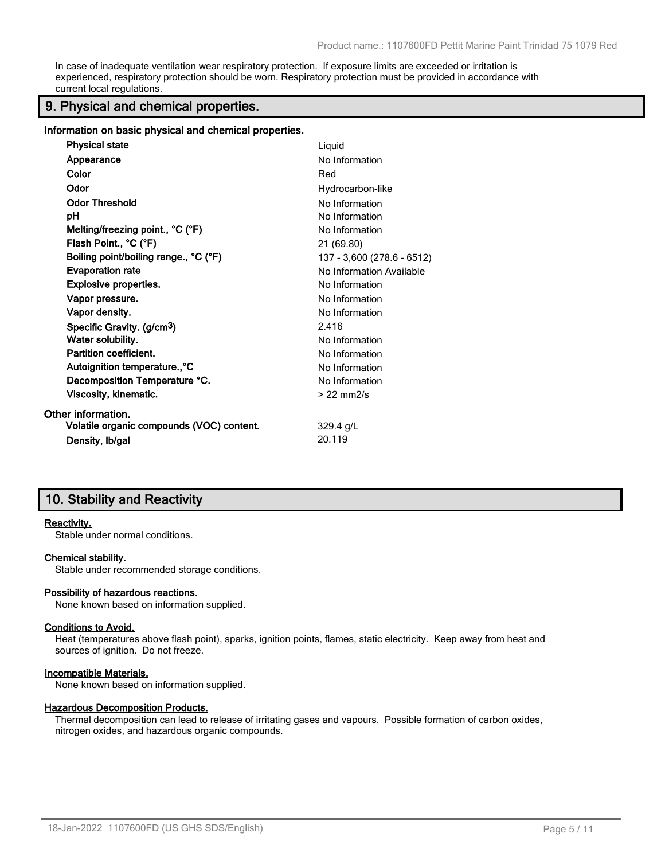In case of inadequate ventilation wear respiratory protection. If exposure limits are exceeded or irritation is experienced, respiratory protection should be worn. Respiratory protection must be provided in accordance with current local regulations.

# **9. Physical and chemical properties.**

**Information on basic physical and chemical properties.**

| <b>Physical state</b>                     | Liquid                     |
|-------------------------------------------|----------------------------|
| Appearance                                | No Information             |
| Color                                     | Red                        |
| Odor                                      | Hydrocarbon-like           |
| <b>Odor Threshold</b>                     | No Information             |
| рH                                        | No Information             |
| Melting/freezing point., °C (°F)          | No Information             |
| Flash Point., °C (°F)                     | 21 (69.80)                 |
| Boiling point/boiling range., °C (°F)     | 137 - 3,600 (278.6 - 6512) |
| <b>Evaporation rate</b>                   | No Information Available   |
| <b>Explosive properties.</b>              | No Information             |
| Vapor pressure.                           | No Information             |
| Vapor density.                            | No Information             |
| Specific Gravity. (g/cm <sup>3</sup> )    | 2.416                      |
| Water solubility.                         | No Information             |
| Partition coefficient.                    | No Information             |
| Autoignition temperature., °C             | No Information             |
| Decomposition Temperature °C.             | No Information             |
| Viscosity, kinematic.                     | $>22$ mm $2/s$             |
| Other information.                        |                            |
| Volatile organic compounds (VOC) content. | 329.4 g/L                  |
| Density, Ib/gal                           | 20.119                     |
|                                           |                            |

# **10. Stability and Reactivity**

#### **Reactivity.**

Stable under normal conditions.

#### **Chemical stability.**

Stable under recommended storage conditions.

#### **Possibility of hazardous reactions.**

None known based on information supplied.

### **Conditions to Avoid.**

Heat (temperatures above flash point), sparks, ignition points, flames, static electricity. Keep away from heat and sources of ignition. Do not freeze.

#### **Incompatible Materials.**

None known based on information supplied.

#### **Hazardous Decomposition Products.**

Thermal decomposition can lead to release of irritating gases and vapours. Possible formation of carbon oxides, nitrogen oxides, and hazardous organic compounds.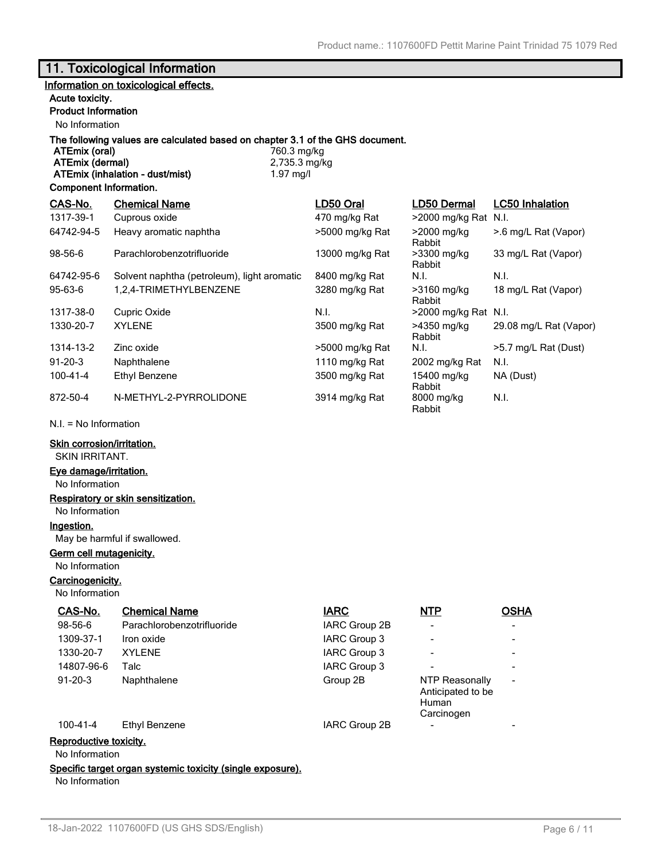# **11. Toxicological Information**

# **Information on toxicological effects.**

#### **Acute toxicity.**

# **Product Information**

No Information

#### **The following values are calculated based on chapter 3.1 of the GHS document. ATEmix (oral)** 760.3 mg/kg

| ATEmix (oral)                   | 760.3 mg/kg   |
|---------------------------------|---------------|
| ATEmix (dermal)                 | 2,735.3 mg/kg |
| ATEmix (inhalation - dust/mist) | 1.97 mg/l     |

#### **Component Information.**

| CAS-No.        | <b>Chemical Name</b>                        | LD50 Oral       | LD50 Dermal           | <b>LC50 Inhalation</b> |
|----------------|---------------------------------------------|-----------------|-----------------------|------------------------|
| 1317-39-1      | Cuprous oxide                               | 470 mg/kg Rat   | >2000 mg/kg Rat       | N.I.                   |
| 64742-94-5     | Heavy aromatic naphtha                      | >5000 mg/kg Rat | >2000 mg/kg<br>Rabbit | >.6 mg/L Rat (Vapor)   |
| 98-56-6        | Parachlorobenzotrifluoride                  | 13000 mg/kg Rat | >3300 mg/kg<br>Rabbit | 33 mg/L Rat (Vapor)    |
| 64742-95-6     | Solvent naphtha (petroleum), light aromatic | 8400 mg/kg Rat  | N.I.                  | N.I.                   |
| 95-63-6        | 1,2,4-TRIMETHYLBENZENE                      | 3280 mg/kg Rat  | >3160 mg/kg<br>Rabbit | 18 mg/L Rat (Vapor)    |
| 1317-38-0      | Cupric Oxide                                | N.I.            | >2000 mg/kg Rat N.I.  |                        |
| 1330-20-7      | <b>XYLENE</b>                               | 3500 mg/kg Rat  | >4350 mg/kg<br>Rabbit | 29.08 mg/L Rat (Vapor) |
| 1314-13-2      | Zinc oxide                                  | >5000 mg/kg Rat | N.I.                  | >5.7 mg/L Rat (Dust)   |
| $91 - 20 - 3$  | Naphthalene                                 | 1110 mg/kg Rat  | 2002 mg/kg Rat        | N.I.                   |
| $100 - 41 - 4$ | Ethyl Benzene                               | 3500 mg/kg Rat  | 15400 mg/kg<br>Rabbit | NA (Dust)              |
| 872-50-4       | N-METHYL-2-PYRROLIDONE                      | 3914 mg/kg Rat  | 8000 mg/kg<br>Rabbit  | N.I.                   |

**ATEmix (inhalation - dust/mist)** 1.97 mg/l

N.I. = No Information

### **Skin corrosion/irritation.**

SKIN IRRITANT.

# **Eye damage/irritation.**

No Information

### **Respiratory or skin sensitization.**

No Information

# **Ingestion.**

May be harmful if swallowed.

# **Germ cell mutagenicity.**

No Information

# **Carcinogenicity.**

No Information

| CAS-No.       | <b>Chemical Name</b>       | <b>IARC</b>         | <b>NTP</b>                                                 | <b>OSHA</b>              |
|---------------|----------------------------|---------------------|------------------------------------------------------------|--------------------------|
| 98-56-6       | Parachlorobenzotrifluoride | IARC Group 2B       | -                                                          | $\overline{\phantom{a}}$ |
| 1309-37-1     | Iron oxide                 | <b>IARC Group 3</b> | $\overline{\phantom{0}}$                                   | $\blacksquare$           |
| 1330-20-7     | <b>XYLENE</b>              | <b>IARC Group 3</b> |                                                            | $\overline{\phantom{a}}$ |
| 14807-96-6    | Talc                       | IARC Group 3        |                                                            | $\blacksquare$           |
| $91 - 20 - 3$ | Naphthalene                | Group 2B            | NTP Reasonally<br>Anticipated to be<br>Human<br>Carcinogen | $\overline{\phantom{a}}$ |
| 100-41-4      | Ethyl Benzene              | IARC Group 2B       |                                                            | $\overline{\phantom{0}}$ |

# **Reproductive toxicity.**

No Information

**Specific target organ systemic toxicity (single exposure).**

No Information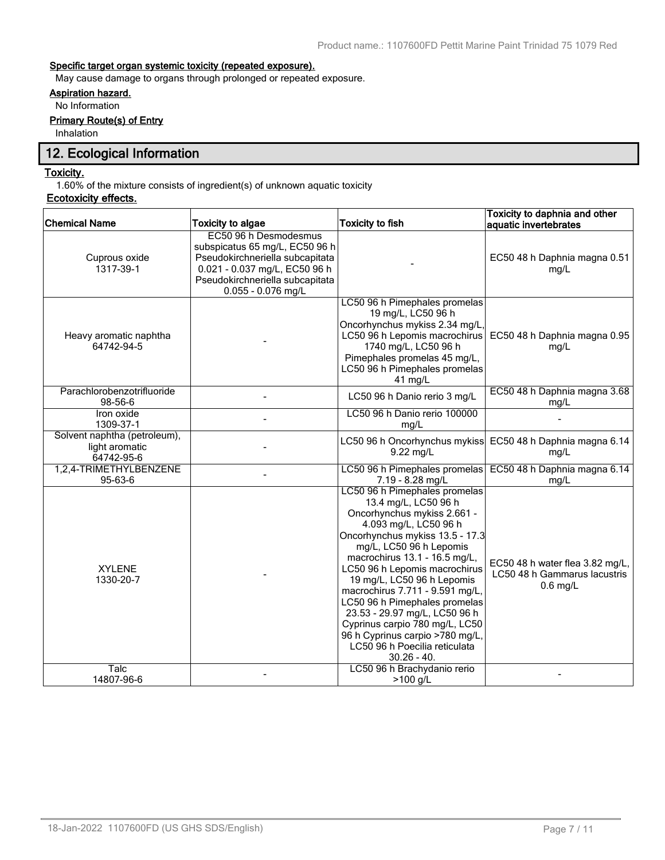# **Specific target organ systemic toxicity (repeated exposure).**

May cause damage to organs through prolonged or repeated exposure.

# **Aspiration hazard.**

No Information

# **Primary Route(s) of Entry**

Inhalation

# **12. Ecological Information**

### **Toxicity.**

1.60% of the mixture consists of ingredient(s) of unknown aquatic toxicity

# **Ecotoxicity effects.**

| <b>Chemical Name</b>                                         | <b>Toxicity to algae</b>                                                                                                                                                               | <b>Toxicity to fish</b>                                                                                                                                                                                                                                                                                                                                                                                                                                                                                 | Toxicity to daphnia and other<br>aquatic invertebrates                        |
|--------------------------------------------------------------|----------------------------------------------------------------------------------------------------------------------------------------------------------------------------------------|---------------------------------------------------------------------------------------------------------------------------------------------------------------------------------------------------------------------------------------------------------------------------------------------------------------------------------------------------------------------------------------------------------------------------------------------------------------------------------------------------------|-------------------------------------------------------------------------------|
| Cuprous oxide<br>1317-39-1                                   | EC50 96 h Desmodesmus<br>subspicatus 65 mg/L, EC50 96 h<br>Pseudokirchneriella subcapitata<br>0.021 - 0.037 mg/L, EC50 96 h<br>Pseudokirchneriella subcapitata<br>$0.055 - 0.076$ mg/L |                                                                                                                                                                                                                                                                                                                                                                                                                                                                                                         | EC50 48 h Daphnia magna 0.51<br>mg/L                                          |
| Heavy aromatic naphtha<br>64742-94-5                         |                                                                                                                                                                                        | LC50 96 h Pimephales promelas<br>19 mg/L, LC50 96 h<br>Oncorhynchus mykiss 2.34 mg/L,<br>LC50 96 h Lepomis macrochirus<br>1740 mg/L, LC50 96 h<br>Pimephales promelas 45 mg/L,<br>LC50 96 h Pimephales promelas<br>$41$ mg/L                                                                                                                                                                                                                                                                            | EC50 48 h Daphnia magna 0.95<br>mg/L                                          |
| Parachlorobenzotrifluoride<br>98-56-6                        |                                                                                                                                                                                        | LC50 96 h Danio rerio 3 mg/L                                                                                                                                                                                                                                                                                                                                                                                                                                                                            | EC50 48 h Daphnia magna 3.68<br>mg/L                                          |
| Iron oxide<br>1309-37-1                                      |                                                                                                                                                                                        | LC50 96 h Danio rerio 100000<br>mg/L                                                                                                                                                                                                                                                                                                                                                                                                                                                                    |                                                                               |
| Solvent naphtha (petroleum),<br>light aromatic<br>64742-95-6 |                                                                                                                                                                                        | LC50 96 h Oncorhynchus mykiss<br>9.22 mg/L                                                                                                                                                                                                                                                                                                                                                                                                                                                              | EC50 48 h Daphnia magna 6.14<br>mg/L                                          |
| 1,2,4-TRIMETHYLBENZENE<br>95-63-6                            |                                                                                                                                                                                        | LC50 96 h Pimephales promelas<br>7.19 - 8.28 mg/L                                                                                                                                                                                                                                                                                                                                                                                                                                                       | EC50 48 h Daphnia magna 6.14<br>mg/L                                          |
| <b>XYLENE</b><br>1330-20-7                                   |                                                                                                                                                                                        | LC50 96 h Pimephales promelas<br>13.4 mg/L, LC50 96 h<br>Oncorhynchus mykiss 2.661 -<br>4.093 mg/L, LC50 96 h<br>Oncorhynchus mykiss 13.5 - 17.3<br>mg/L, LC50 96 h Lepomis<br>macrochirus 13.1 - 16.5 mg/L,<br>LC50 96 h Lepomis macrochirus<br>19 mg/L, LC50 96 h Lepomis<br>macrochirus 7.711 - 9.591 mg/L,<br>LC50 96 h Pimephales promelas<br>23.53 - 29.97 mg/L, LC50 96 h<br>Cyprinus carpio 780 mg/L, LC50<br>96 h Cyprinus carpio >780 mg/L,<br>LC50 96 h Poecilia reticulata<br>$30.26 - 40.$ | EC50 48 h water flea 3.82 mg/L,<br>LC50 48 h Gammarus lacustris<br>$0.6$ mg/L |
| Talc<br>14807-96-6                                           |                                                                                                                                                                                        | LC50 96 h Brachydanio rerio<br>>100 g/L                                                                                                                                                                                                                                                                                                                                                                                                                                                                 |                                                                               |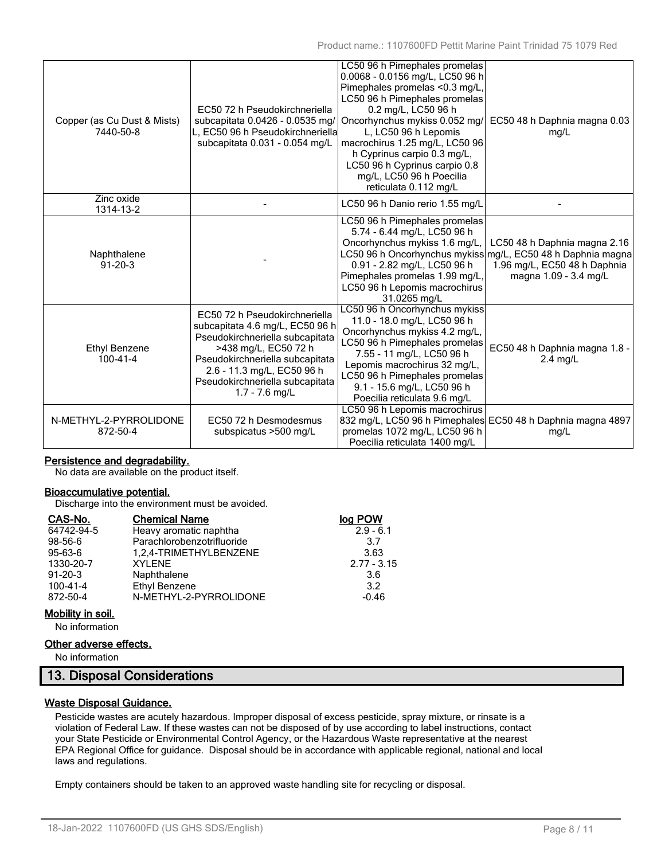| Copper (as Cu Dust & Mists)<br>7440-50-8 | EC50 72 h Pseudokirchneriella<br>subcapitata 0.0426 - 0.0535 mg/<br>L, EC50 96 h Pseudokirchneriella<br>subcapitata 0.031 - 0.054 mg/L                                                                                                            | LC50 96 h Pimephales promelas<br>0.0068 - 0.0156 mg/L, LC50 96 h<br>Pimephales promelas <0.3 mg/L,<br>LC50 96 h Pimephales promelas<br>0.2 mg/L, LC50 96 h<br>Oncorhynchus mykiss 0.052 mg/<br>L, LC50 96 h Lepomis<br>macrochirus 1.25 mg/L, LC50 96<br>h Cyprinus carpio 0.3 mg/L,<br>LC50 96 h Cyprinus carpio 0.8<br>mg/L, LC50 96 h Poecilia<br>reticulata 0.112 mg/L | EC50 48 h Daphnia magna 0.03<br>mg/L                                                                                                                 |
|------------------------------------------|---------------------------------------------------------------------------------------------------------------------------------------------------------------------------------------------------------------------------------------------------|----------------------------------------------------------------------------------------------------------------------------------------------------------------------------------------------------------------------------------------------------------------------------------------------------------------------------------------------------------------------------|------------------------------------------------------------------------------------------------------------------------------------------------------|
| Zinc oxide<br>1314-13-2                  |                                                                                                                                                                                                                                                   | LC50 96 h Danio rerio 1.55 mg/L                                                                                                                                                                                                                                                                                                                                            |                                                                                                                                                      |
| Naphthalene<br>$91 - 20 - 3$             |                                                                                                                                                                                                                                                   | LC50 96 h Pimephales promelas<br>5.74 - 6.44 mg/L, LC50 96 h<br>Oncorhynchus mykiss 1.6 mg/L,<br>0.91 - 2.82 mg/L, LC50 96 h<br>Pimephales promelas 1.99 mg/L,<br>LC50 96 h Lepomis macrochirus<br>31.0265 mg/L                                                                                                                                                            | LC50 48 h Daphnia magna 2.16<br>LC50 96 h Oncorhynchus mykiss mg/L, EC50 48 h Daphnia magna<br>1.96 mg/L, EC50 48 h Daphnia<br>magna 1.09 - 3.4 mg/L |
| <b>Ethyl Benzene</b><br>100-41-4         | EC50 72 h Pseudokirchneriella<br>subcapitata 4.6 mg/L, EC50 96 h<br>Pseudokirchneriella subcapitata<br>>438 mg/L, EC50 72 h<br>Pseudokirchneriella subcapitata<br>2.6 - 11.3 mg/L, EC50 96 h<br>Pseudokirchneriella subcapitata<br>1.7 - 7.6 mg/L | LC50 96 h Oncorhynchus mykiss<br>11.0 - 18.0 mg/L, LC50 96 h<br>Oncorhynchus mykiss 4.2 mg/L,<br>LC50 96 h Pimephales promelas<br>7.55 - 11 mg/L, LC50 96 h<br>Lepomis macrochirus 32 mg/L,<br>LC50 96 h Pimephales promelas<br>9.1 - 15.6 mg/L, LC50 96 h<br>Poecilia reticulata 9.6 mg/L                                                                                 | EC50 48 h Daphnia magna 1.8 -<br>$2.4$ mg/L                                                                                                          |
| N-METHYL-2-PYRROLIDONE<br>872-50-4       | EC50 72 h Desmodesmus<br>subspicatus >500 mg/L                                                                                                                                                                                                    | LC50 96 h Lepomis macrochirus<br>promelas 1072 mg/L, LC50 96 h<br>Poecilia reticulata 1400 mg/L                                                                                                                                                                                                                                                                            | 832 mg/L, LC50 96 h Pimephales EC50 48 h Daphnia magna 4897<br>mg/L                                                                                  |

## **Persistence and degradability.**

No data are available on the product itself.

#### **Bioaccumulative potential.**

Discharge into the environment must be avoided.

| CAS-No.        | <b>Chemical Name</b>       | log POW       |
|----------------|----------------------------|---------------|
| 64742-94-5     | Heavy aromatic naphtha     | $2.9 - 6.1$   |
| $98 - 56 - 6$  | Parachlorobenzotrifluoride | 3.7           |
| $95 - 63 - 6$  | 1.2.4-TRIMETHYLBENZENE     | 3.63          |
| 1330-20-7      | <b>XYLENE</b>              | $2.77 - 3.15$ |
| $91 - 20 - 3$  | Naphthalene                | 3.6           |
| $100 - 41 - 4$ | <b>Ethyl Benzene</b>       | 3.2           |
| 872-50-4       | N-METHYL-2-PYRROLIDONE     | $-0.46$       |

# **Mobility in soil.**

No information

### **Other adverse effects.**

No information

# **13. Disposal Considerations**

## **Waste Disposal Guidance.**

Pesticide wastes are acutely hazardous. Improper disposal of excess pesticide, spray mixture, or rinsate is a violation of Federal Law. If these wastes can not be disposed of by use according to label instructions, contact your State Pesticide or Environmental Control Agency, or the Hazardous Waste representative at the nearest EPA Regional Office for guidance. Disposal should be in accordance with applicable regional, national and local laws and regulations.

Empty containers should be taken to an approved waste handling site for recycling or disposal.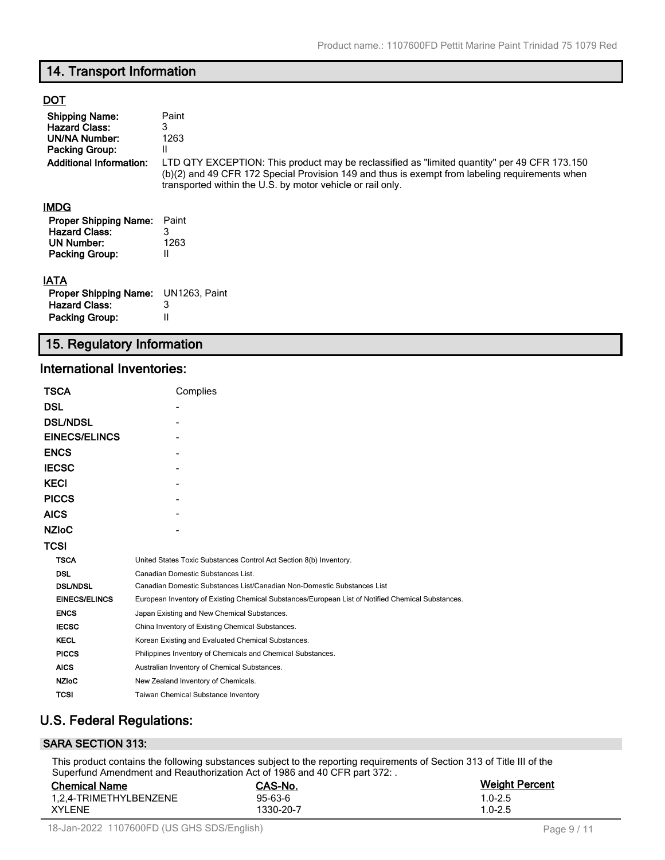# **14. Transport Information**

# **DOT**

| <b>Shipping Name:</b><br><b>Hazard Class:</b><br>UN/NA Number:<br><b>Packing Group:</b><br><b>Additional Information:</b> | Paint<br>3<br>1263<br>Ш<br>LTD QTY EXCEPTION: This product may be reclassified as "limited quantity" per 49 CFR 173.150<br>(b)(2) and 49 CFR 172 Special Provision 149 and thus is exempt from labeling requirements when<br>transported within the U.S. by motor vehicle or rail only. |
|---------------------------------------------------------------------------------------------------------------------------|-----------------------------------------------------------------------------------------------------------------------------------------------------------------------------------------------------------------------------------------------------------------------------------------|
| <b>IMDG</b>                                                                                                               |                                                                                                                                                                                                                                                                                         |
| <b>Proper Shipping Name:</b><br><b>Hazard Class:</b>                                                                      | Paint<br>3                                                                                                                                                                                                                                                                              |
| UN Number:                                                                                                                | 1263                                                                                                                                                                                                                                                                                    |
| <b>Packing Group:</b>                                                                                                     | Ш                                                                                                                                                                                                                                                                                       |
| IATA                                                                                                                      |                                                                                                                                                                                                                                                                                         |
| <b>Proper Shipping Name:</b>                                                                                              | UN1263, Paint                                                                                                                                                                                                                                                                           |
| <b>Hazard Class:</b>                                                                                                      | 3                                                                                                                                                                                                                                                                                       |
| Packing Group:                                                                                                            | Ш                                                                                                                                                                                                                                                                                       |

# **15. Regulatory Information**

# **International Inventories:**

| TSCA                 | Complies                                                                                          |
|----------------------|---------------------------------------------------------------------------------------------------|
| DSL                  |                                                                                                   |
| <b>DSL/NDSL</b>      |                                                                                                   |
| <b>EINECS/ELINCS</b> |                                                                                                   |
| <b>ENCS</b>          |                                                                                                   |
| <b>IECSC</b>         |                                                                                                   |
| <b>KECI</b>          |                                                                                                   |
| <b>PICCS</b>         |                                                                                                   |
| AICS                 |                                                                                                   |
| <b>NZIoC</b>         |                                                                                                   |
| TCSI                 |                                                                                                   |
| <b>TSCA</b>          | United States Toxic Substances Control Act Section 8(b) Inventory.                                |
| <b>DSL</b>           | Canadian Domestic Substances List.                                                                |
| <b>DSL/NDSL</b>      | Canadian Domestic Substances List/Canadian Non-Domestic Substances List                           |
| <b>EINECS/ELINCS</b> | European Inventory of Existing Chemical Substances/European List of Notified Chemical Substances. |
| <b>ENCS</b>          | Japan Existing and New Chemical Substances.                                                       |
| <b>IECSC</b>         | China Inventory of Existing Chemical Substances.                                                  |
| <b>KECL</b>          | Korean Existing and Evaluated Chemical Substances.                                                |
| <b>PICCS</b>         | Philippines Inventory of Chemicals and Chemical Substances.                                       |
| <b>AICS</b>          | Australian Inventory of Chemical Substances.                                                      |
| <b>NZIoC</b>         | New Zealand Inventory of Chemicals.                                                               |
| <b>TCSI</b>          | Taiwan Chemical Substance Inventory                                                               |

# **U.S. Federal Regulations:**

# **SARA SECTION 313:**

This product contains the following substances subject to the reporting requirements of Section 313 of Title III of the Superfund Amendment and Reauthorization Act of 1986 and 40 CFR part 372:

| <b>Chemical Name</b>   | CAS-No.   | <b>Weight Percent</b> |
|------------------------|-----------|-----------------------|
| 1,2,4-TRIMETHYLBENZENE | $95-63-6$ | $1.0 - 2.5$           |
| <b>XYLENE</b>          | 1330-20-7 | $1.0 - 2.5$           |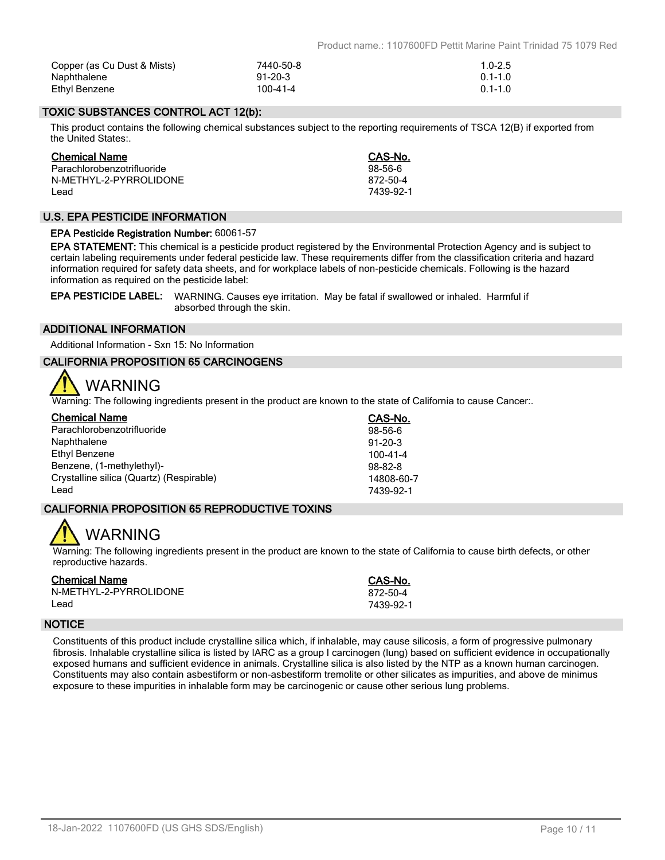| Copper (as Cu Dust & Mists) | 7440-50-8 | $1.0 - 2.5$ |
|-----------------------------|-----------|-------------|
| Naphthalene                 | $91-20-3$ | $0.1 - 1.0$ |
| Ethyl Benzene               | 100-41-4  | $0.1 - 1.0$ |

### **TOXIC SUBSTANCES CONTROL ACT 12(b):**

This product contains the following chemical substances subject to the reporting requirements of TSCA 12(B) if exported from the United States:.

| <b>Chemical Name</b>       | CAS-No.   |
|----------------------------|-----------|
| Parachlorobenzotrifluoride | $98-56-6$ |
| N-METHYL-2-PYRROLIDONE     | 872-50-4  |
| Lead                       | 7439-92-1 |

#### **U.S. EPA PESTICIDE INFORMATION**

#### **EPA Pesticide Registration Number:** 60061-57

**EPA STATEMENT:** This chemical is a pesticide product registered by the Environmental Protection Agency and is subject to certain labeling requirements under federal pesticide law. These requirements differ from the classification criteria and hazard information required for safety data sheets, and for workplace labels of non-pesticide chemicals. Following is the hazard information as required on the pesticide label:

**EPA PESTICIDE LABEL:** WARNING. Causes eye irritation. May be fatal if swallowed or inhaled. Harmful if absorbed through the skin.

### **ADDITIONAL INFORMATION**

Additional Information - Sxn 15: No Information

## **CALIFORNIA PROPOSITION 65 CARCINOGENS**

# WARNING

Warning: The following ingredients present in the product are known to the state of California to cause Cancer:.

| <b>Chemical Name</b>                     | CAS-No.        |
|------------------------------------------|----------------|
| Parachlorobenzotrifluoride               | 98-56-6        |
| Naphthalene                              | $91-20-3$      |
| Ethyl Benzene                            | $100 - 41 - 4$ |
| Benzene, (1-methylethyl)-                | $98 - 82 - 8$  |
| Crystalline silica (Quartz) (Respirable) | 14808-60-7     |
| Lead                                     | 7439-92-1      |

# **CALIFORNIA PROPOSITION 65 REPRODUCTIVE TOXINS**

# WARNING

Warning: The following ingredients present in the product are known to the state of California to cause birth defects, or other reproductive hazards.

| <b>Chemical Name</b>   | CAS-No.   |  |  |
|------------------------|-----------|--|--|
| N-METHYL-2-PYRROLIDONE | 872-50-4  |  |  |
| Lead                   | 7439-92-1 |  |  |

#### **NOTICE**

Constituents of this product include crystalline silica which, if inhalable, may cause silicosis, a form of progressive pulmonary fibrosis. Inhalable crystalline silica is listed by IARC as a group I carcinogen (lung) based on sufficient evidence in occupationally exposed humans and sufficient evidence in animals. Crystalline silica is also listed by the NTP as a known human carcinogen. Constituents may also contain asbestiform or non-asbestiform tremolite or other silicates as impurities, and above de minimus exposure to these impurities in inhalable form may be carcinogenic or cause other serious lung problems.